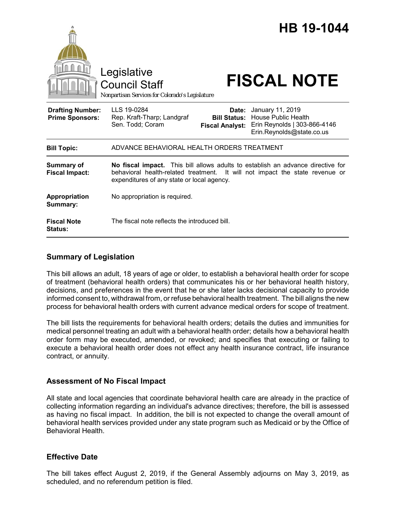

## **Summary of Legislation**

This bill allows an adult, 18 years of age or older, to establish a behavioral health order for scope of treatment (behavioral health orders) that communicates his or her behavioral health history, decisions, and preferences in the event that he or she later lacks decisional capacity to provide informed consent to, withdrawal from, or refuse behavioral health treatment. The bill aligns the new process for behavioral health orders with current advance medical orders for scope of treatment.

The bill lists the requirements for behavioral health orders; details the duties and immunities for medical personnel treating an adult with a behavioral health order; details how a behavioral health order form may be executed, amended, or revoked; and specifies that executing or failing to execute a behavioral health order does not effect any health insurance contract, life insurance contract, or annuity.

### **Assessment of No Fiscal Impact**

All state and local agencies that coordinate behavioral health care are already in the practice of collecting information regarding an individual's advance directives; therefore, the bill is assessed as having no fiscal impact. In addition, the bill is not expected to change the overall amount of behavioral health services provided under any state program such as Medicaid or by the Office of Behavioral Health.

### **Effective Date**

The bill takes effect August 2, 2019, if the General Assembly adjourns on May 3, 2019, as scheduled, and no referendum petition is filed.